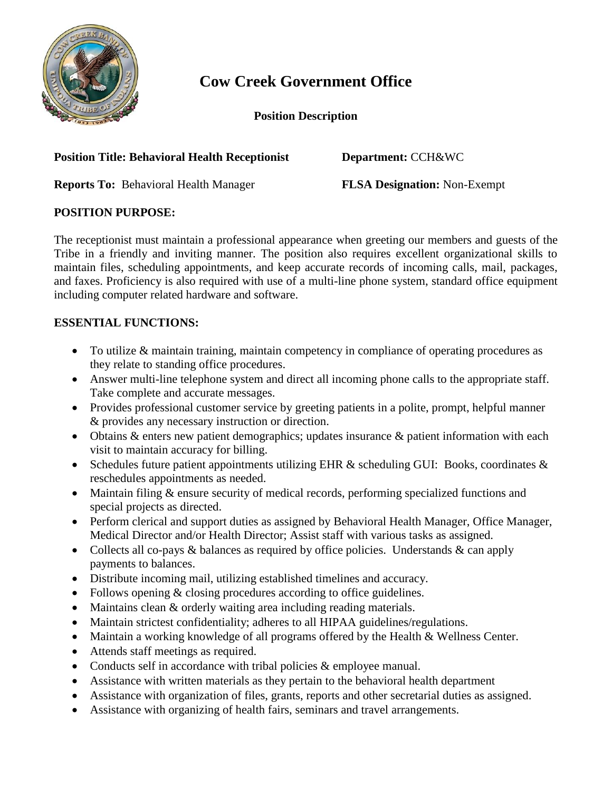

# **Cow Creek Government Office**

**Position Description**

### **Position Title: Behavioral Health Receptionist Department:** CCH&WC

**Reports To:** Behavioral Health Manager **FLSA Designation:** Non-Exempt

## **POSITION PURPOSE:**

The receptionist must maintain a professional appearance when greeting our members and guests of the Tribe in a friendly and inviting manner. The position also requires excellent organizational skills to maintain files, scheduling appointments, and keep accurate records of incoming calls, mail, packages, and faxes. Proficiency is also required with use of a multi-line phone system, standard office equipment including computer related hardware and software.

## **ESSENTIAL FUNCTIONS:**

- To utilize & maintain training, maintain competency in compliance of operating procedures as they relate to standing office procedures.
- Answer multi-line telephone system and direct all incoming phone calls to the appropriate staff. Take complete and accurate messages.
- Provides professional customer service by greeting patients in a polite, prompt, helpful manner & provides any necessary instruction or direction.
- Obtains & enters new patient demographics; updates insurance & patient information with each visit to maintain accuracy for billing.
- Schedules future patient appointments utilizing EHR  $\&$  scheduling GUI: Books, coordinates  $\&$ reschedules appointments as needed.
- Maintain filing & ensure security of medical records, performing specialized functions and special projects as directed.
- Perform clerical and support duties as assigned by Behavioral Health Manager, Office Manager, Medical Director and/or Health Director; Assist staff with various tasks as assigned.
- Collects all co-pays & balances as required by office policies. Understands & can apply payments to balances.
- Distribute incoming mail, utilizing established timelines and accuracy.
- Follows opening  $&$  closing procedures according to office guidelines.
- Maintains clean & orderly waiting area including reading materials.
- Maintain strictest confidentiality; adheres to all HIPAA guidelines/regulations.
- Maintain a working knowledge of all programs offered by the Health & Wellness Center.
- Attends staff meetings as required.
- Conducts self in accordance with tribal policies & employee manual.
- Assistance with written materials as they pertain to the behavioral health department
- Assistance with organization of files, grants, reports and other secretarial duties as assigned.
- Assistance with organizing of health fairs, seminars and travel arrangements.